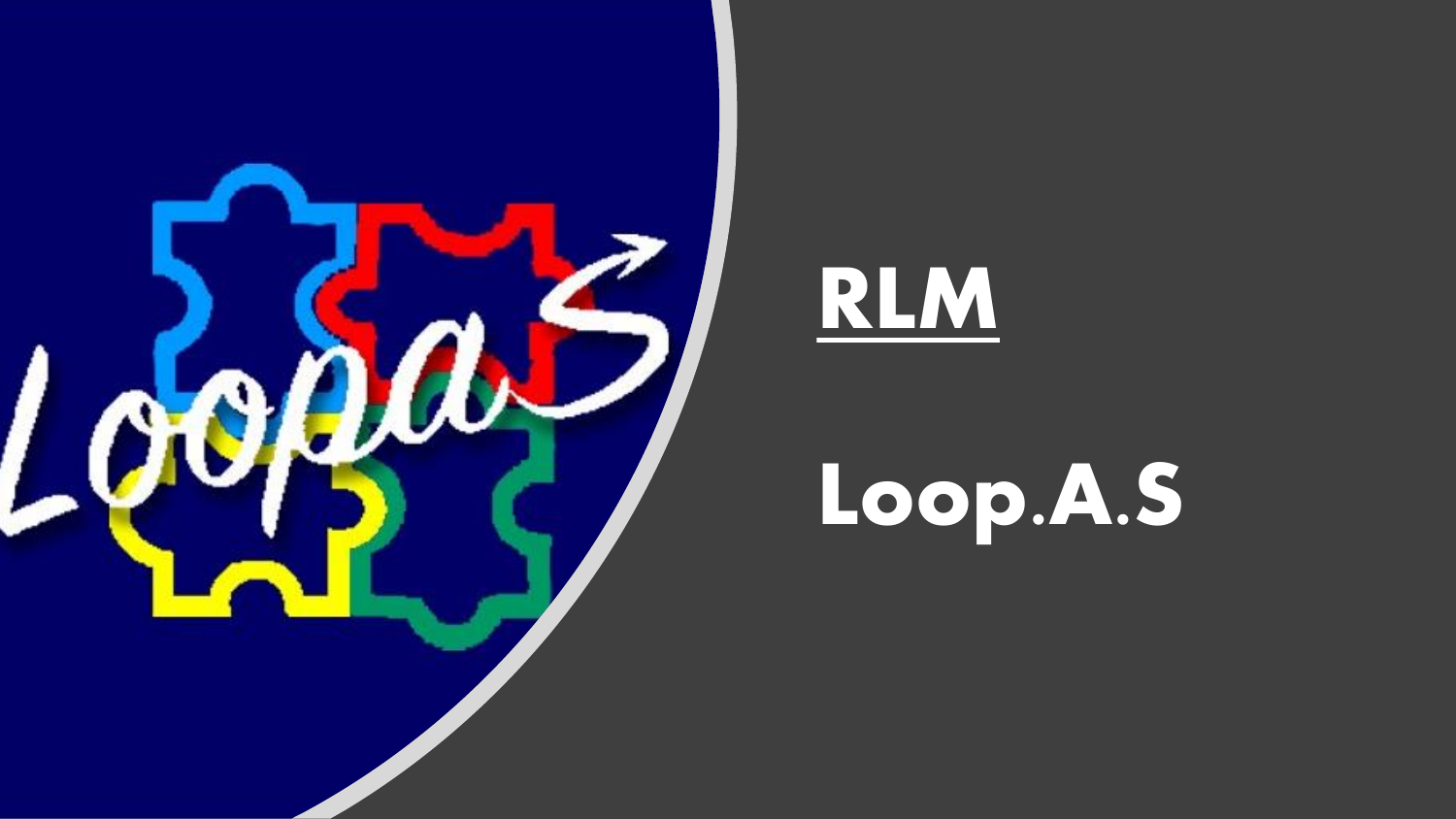



# Loop.A.S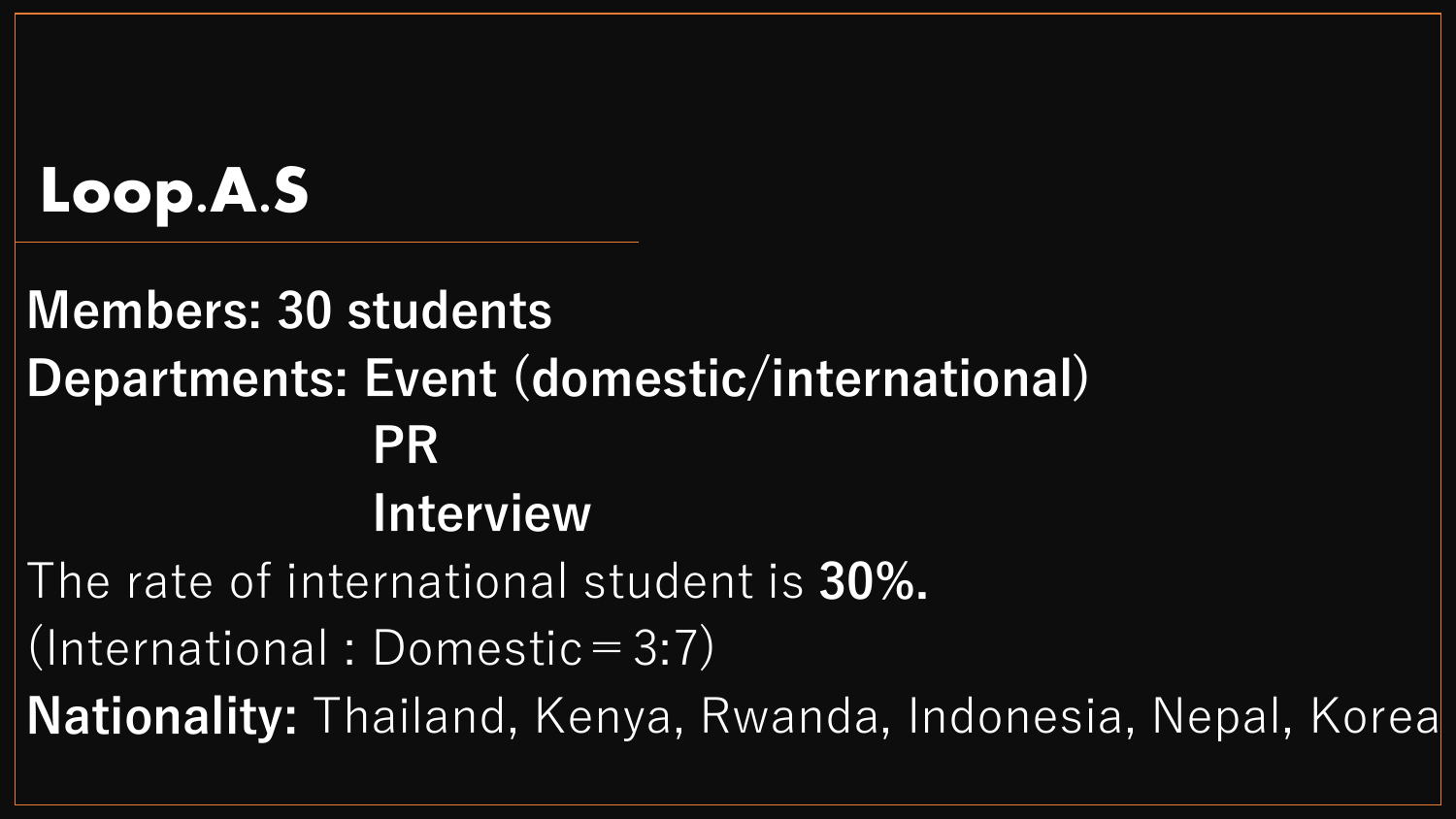## Loop.A.S

## **Members: 30 students Departments: Event (domestic/international) PR Interview**  The rate of international student is **30%.** (International : Domestic =  $3:7$ ) **Nationality:** Thailand, Kenya, Rwanda, Indonesia, Nepal, Korea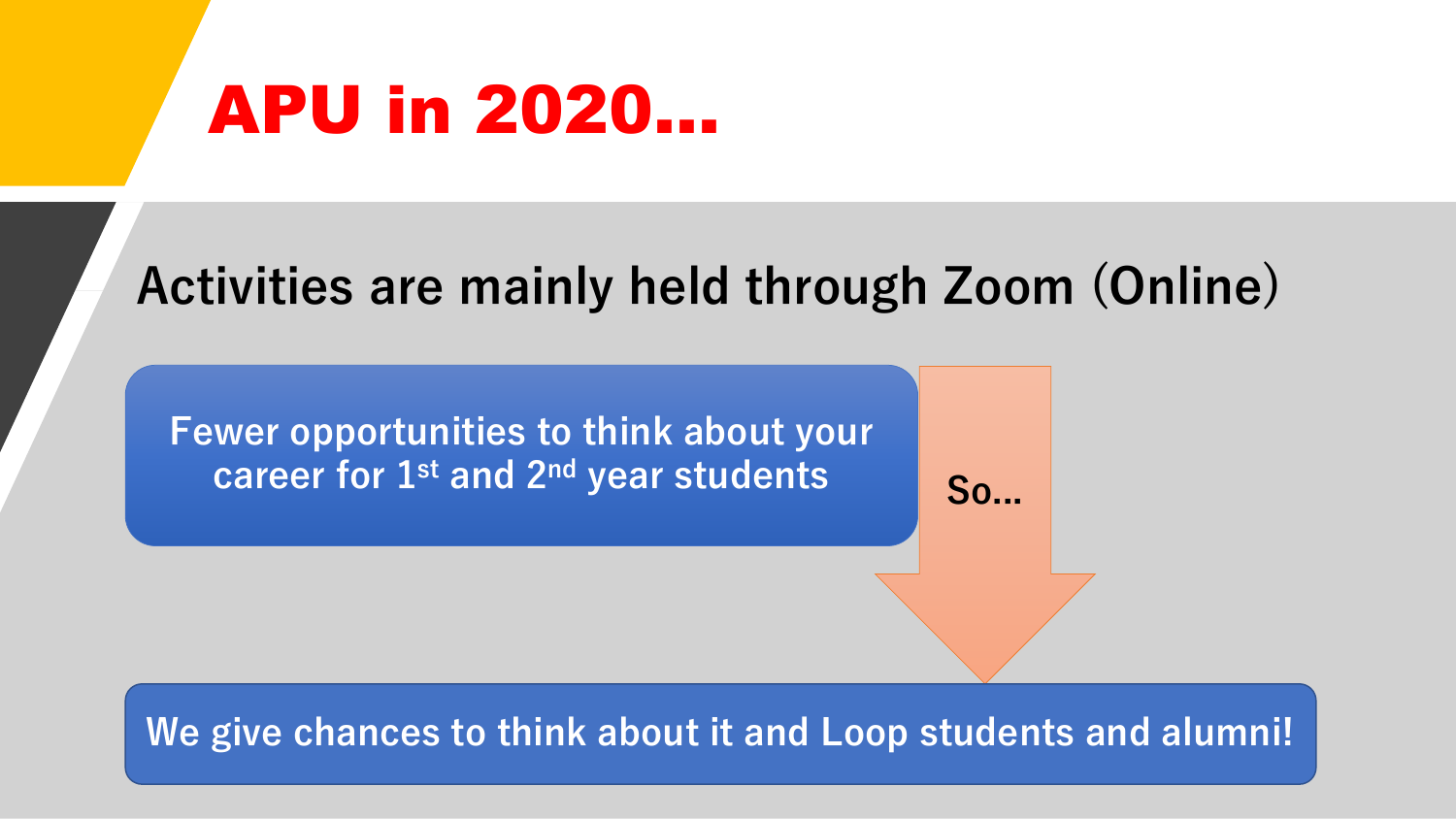## APU in 2020...

### **Activities are mainly held through Zoom (Online)**

**Fewer opportunities to think about your career for 1st and 2<sup>nd</sup> year students So...** 

#### **We give chances to think about it and Loop students and alumni!**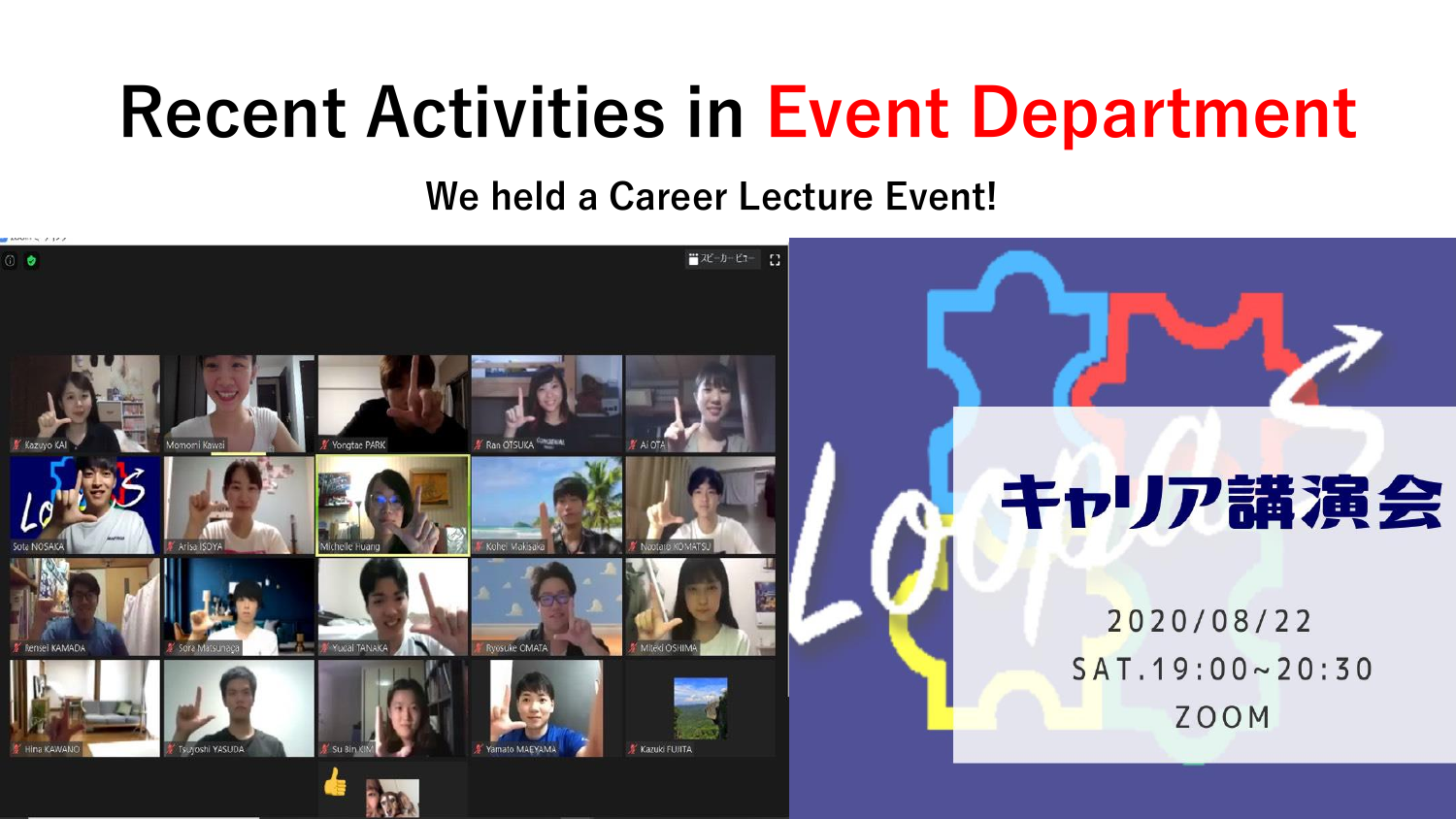## **Recent Activities in Event Department**

**We held a Career Lecture Event!** 

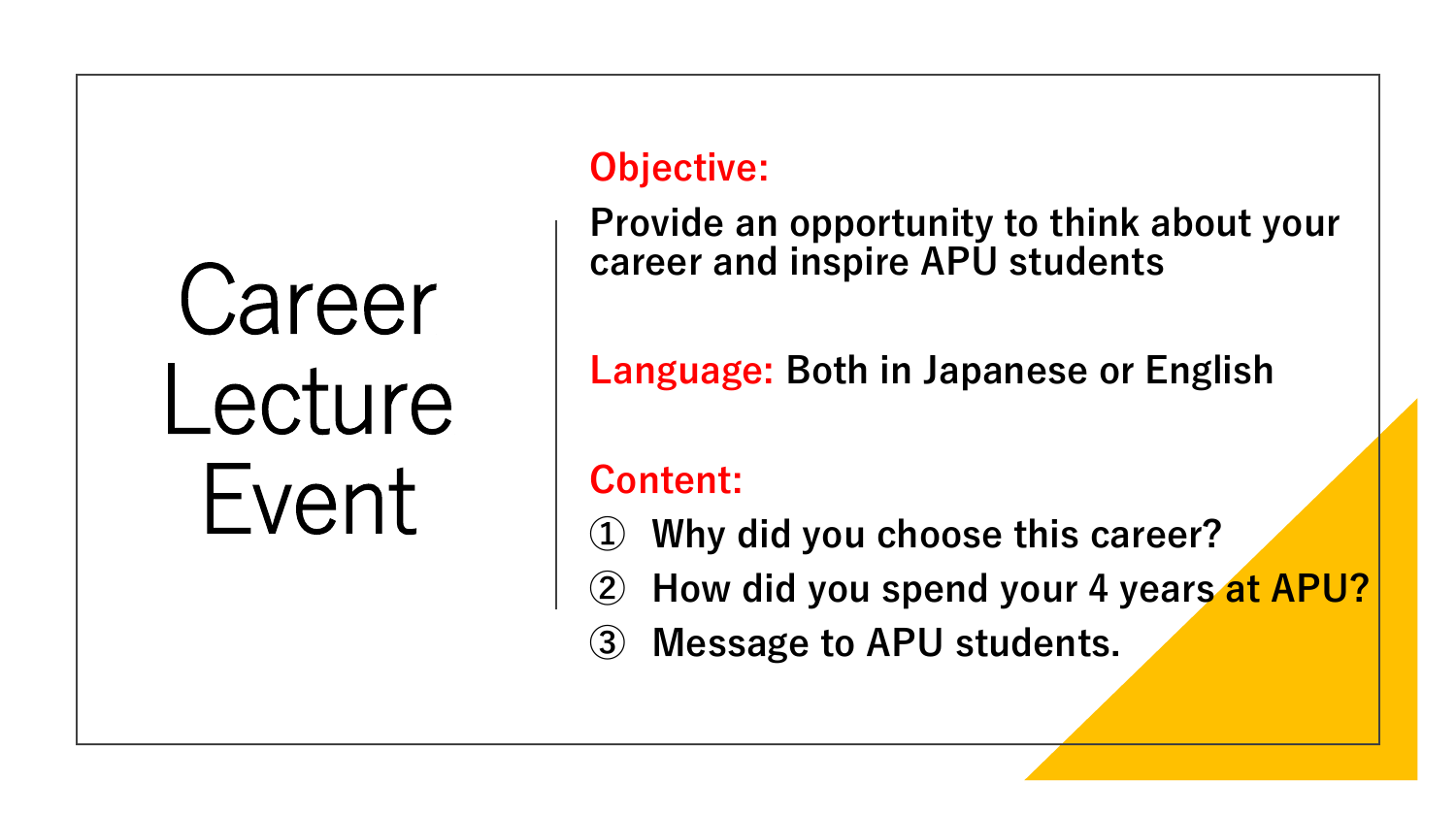# Career Lecture Event

### **Objective:**

**Provide an opportunity to think about your career and inspire APU students**

**Language: Both in Japanese or English**

### **Content:**

- **① Why did you choose this career?**
- **How did you spend your 4 years at APU?**
- **③ Message to APU students.**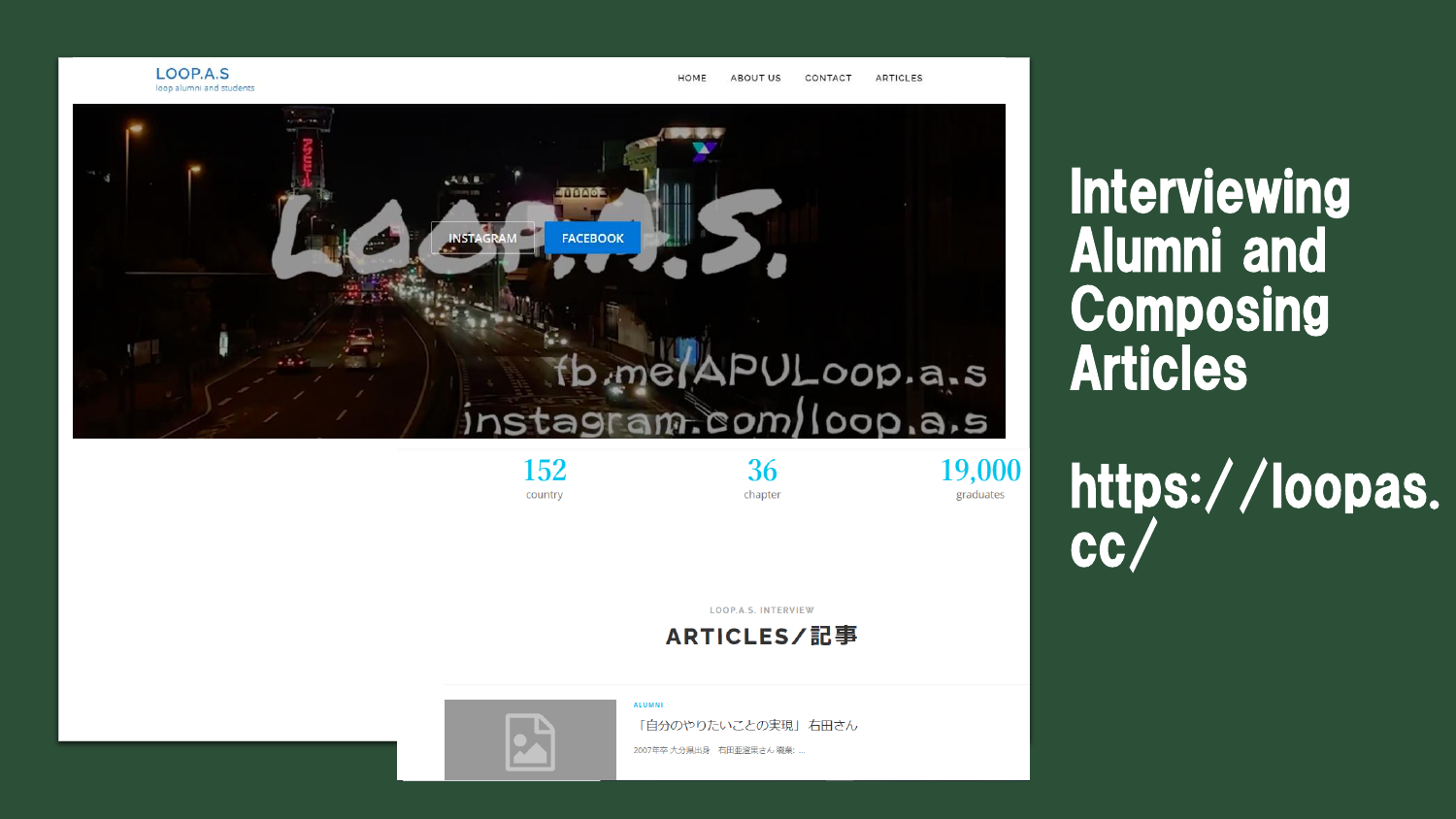

country

Interviewing Alumni and Composing Articles

https://loopas. **CC** 

**LOOP.A.S. INTERVIEW** 

chapter

graduates

ARTICLES/記事

**ALUMNI** 

「自分のやりたいことの実現」右田さん

2007年卒 大分県出身 右田亜澄果さん 職業: ...

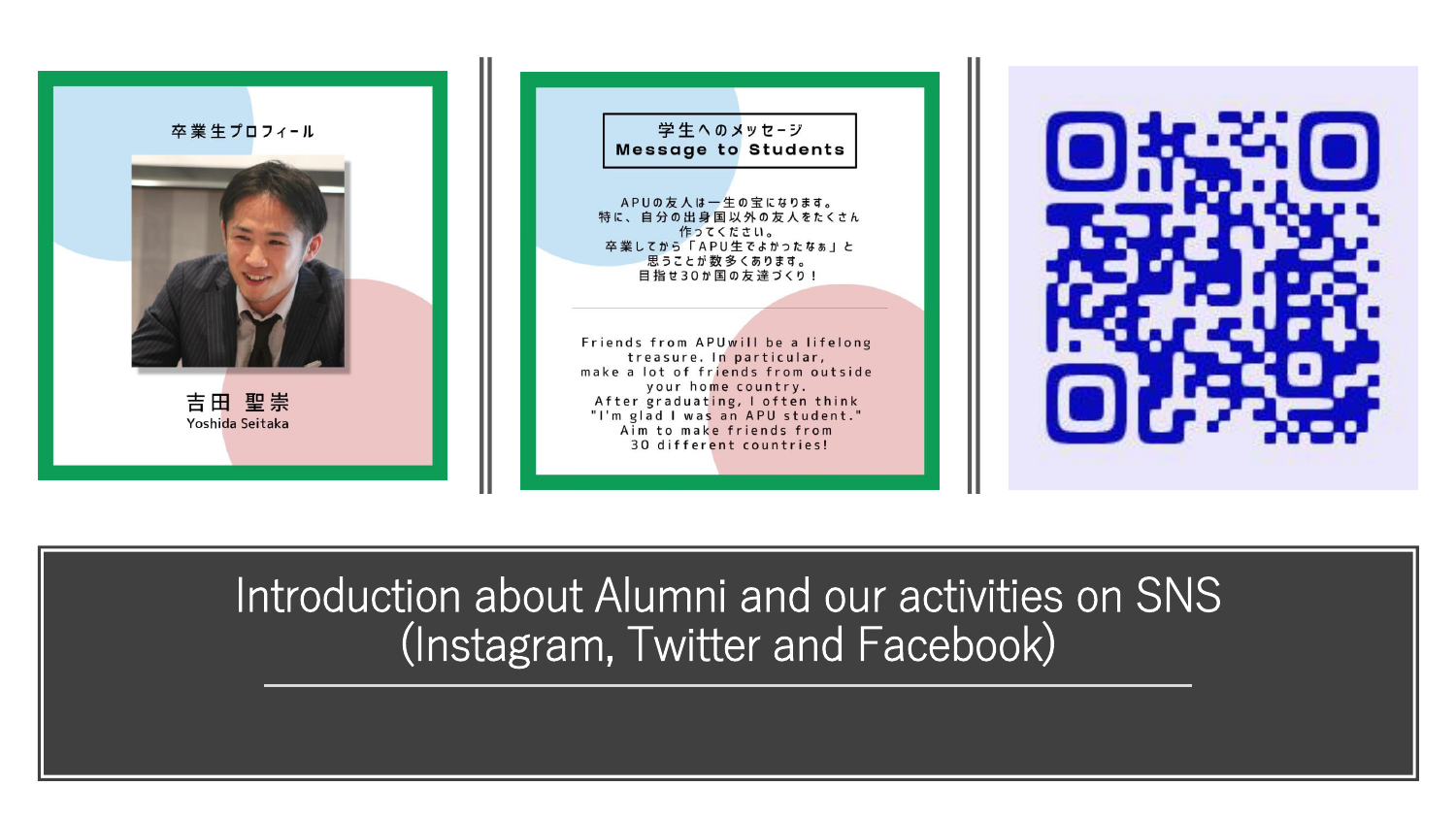





Introduction about Alumni and our activities on SNS (Instagram, Twitter and Facebook)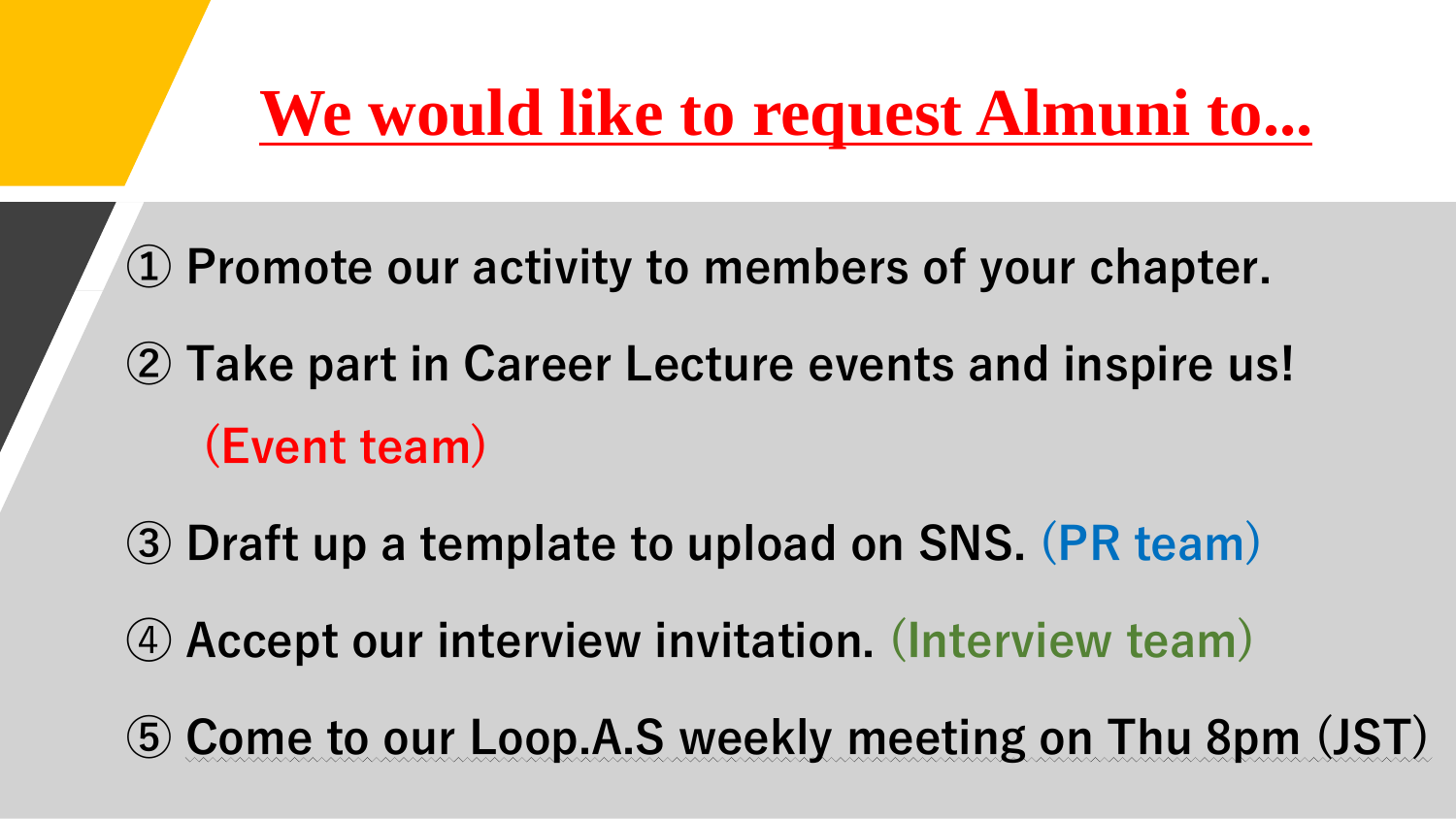## **We would like to request Almuni to...**

**Promote our activity to members of your chapter.**

- **Take part in Career Lecture events and inspire us! (Event team)**
- **Draft up a template to upload on SNS. (PR team) Accept our interview invitation. (Interview team)**
- **Come to our Loop.A.S weekly meeting on Thu 8pm (JST)**